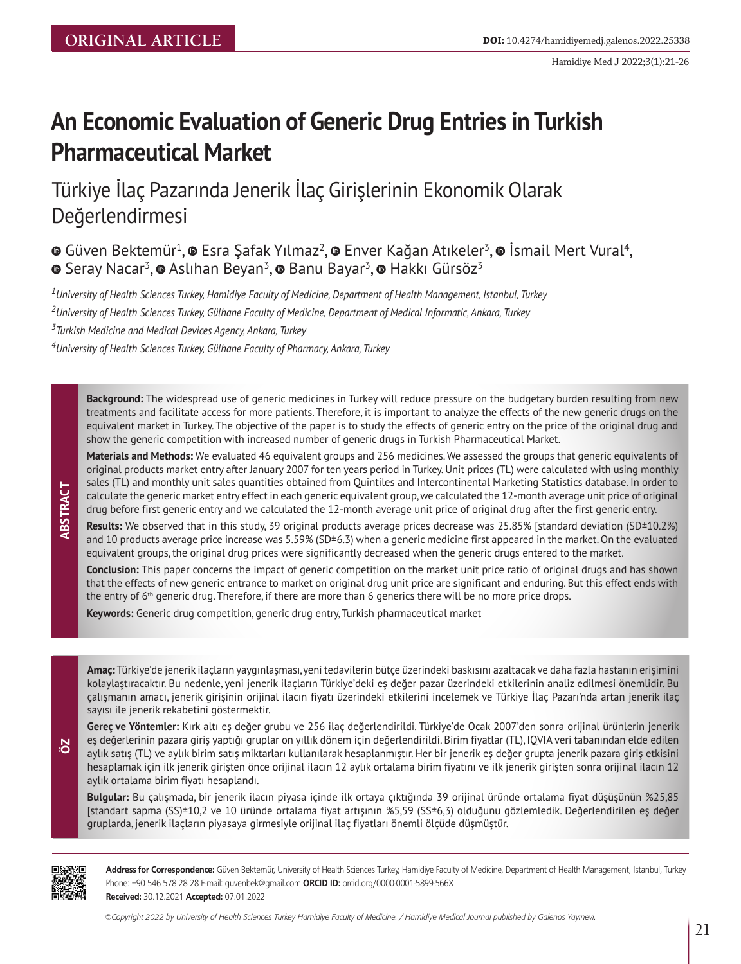Hamidiye Med J 2022;3(1):21-26

# **An Economic Evaluation of Generic Drug Entries in Turkish Pharmaceutical Market**

Türkiye İlaç Pazarında Jenerik İlaç Girişlerinin Ekonomik Olarak Değerlendirmesi

 $\bullet$ Güven Bektemür<sup>1</sup>,  $\bullet$  Esra Şafak Yılmaz<sup>2</sup>,  $\bullet$  Enver Kağan Atıkeler<sup>3</sup>,  $\bullet$  İsmail Mert Vural<sup>4</sup>,  $\bullet$ Seray Nacar<sup>3</sup>,  $\bullet$  Aslıhan Beyan<sup>3</sup>,  $\bullet$  Banu Bayar<sup>3</sup>,  $\bullet$  Hakkı Gürsöz<sup>3</sup>

*1 University of Health Sciences Turkey, Hamidiye Faculty of Medicine, Department of Health Management, Istanbul, Turkey*

*2 University of Health Sciences Turkey, Gülhane Faculty of Medicine, Department of Medical Informatic, Ankara, Turkey*

*3 Turkish Medicine and Medical Devices Agency, Ankara, Turkey*

*4 University of Health Sciences Turkey, Gülhane Faculty of Pharmacy, Ankara, Turkey*

**Background:** The widespread use of generic medicines in Turkey will reduce pressure on the budgetary burden resulting from new treatments and facilitate access for more patients. Therefore, it is important to analyze the effects of the new generic drugs on the equivalent market in Turkey. The objective of the paper is to study the effects of generic entry on the price of the original drug and show the generic competition with increased number of generic drugs in Turkish Pharmaceutical Market.

**Materials and Methods:** We evaluated 46 equivalent groups and 256 medicines. We assessed the groups that generic equivalents of original products market entry after January 2007 for ten years period in Turkey. Unit prices (TL) were calculated with using monthly sales (TL) and monthly unit sales quantities obtained from Quintiles and Intercontinental Marketing Statistics database. In order to calculate the generic market entry effect in each generic equivalent group, we calculated the 12-month average unit price of original drug before first generic entry and we calculated the 12-month average unit price of original drug after the first generic entry.

**Results:** We observed that in this study, 39 original products average prices decrease was 25.85% [standard deviation (SD±10.2%) and 10 products average price increase was 5.59% (SD±6.3) when a generic medicine first appeared in the market. On the evaluated equivalent groups, the original drug prices were significantly decreased when the generic drugs entered to the market.

**Conclusion:** This paper concerns the impact of generic competition on the market unit price ratio of original drugs and has shown that the effects of new generic entrance to market on original drug unit price are significant and enduring. But this effect ends with the entry of 6<sup>th</sup> generic drug. Therefore, if there are more than 6 generics there will be no more price drops.

**Keywords:** Generic drug competition, generic drug entry, Turkish pharmaceutical market

**Amaç:** Türkiye'de jenerik ilaçların yaygınlaşması, yeni tedavilerin bütçe üzerindeki baskısını azaltacak ve daha fazla hastanın erişimini kolaylaştıracaktır. Bu nedenle, yeni jenerik ilaçların Türkiye'deki eş değer pazar üzerindeki etkilerinin analiz edilmesi önemlidir. Bu çalışmanın amacı, jenerik girişinin orijinal ilacın fiyatı üzerindeki etkilerini incelemek ve Türkiye İlaç Pazarı'nda artan jenerik ilaç sayısı ile jenerik rekabetini göstermektir.

**Gereç ve Yöntemler:** Kırk altı eş değer grubu ve 256 ilaç değerlendirildi. Türkiye'de Ocak 2007'den sonra orijinal ürünlerin jenerik eş değerlerinin pazara giriş yaptığı gruplar on yıllık dönem için değerlendirildi. Birim fiyatlar (TL), IQVIA veri tabanından elde edilen aylık satış (TL) ve aylık birim satış miktarları kullanılarak hesaplanmıştır. Her bir jenerik eş değer grupta jenerik pazara giriş etkisini hesaplamak için ilk jenerik girişten önce orijinal ilacın 12 aylık ortalama birim fiyatını ve ilk jenerik girişten sonra orijinal ilacın 12 aylık ortalama birim fiyatı hesaplandı.

**Bulgular:** Bu çalışmada, bir jenerik ilacın piyasa içinde ilk ortaya çıktığında 39 orijinal üründe ortalama fiyat düşüşünün %25,85 [standart sapma (SS)±10,2 ve 10 üründe ortalama fiyat artışının %5,59 (SS±6,3) olduğunu gözlemledik. Değerlendirilen eş değer gruplarda, jenerik ilaçların piyasaya girmesiyle orijinal ilaç fiyatları önemli ölçüde düşmüştür.



**ÖZ**

**ABSTRA CT**

**Address for Correspondence:** Güven Bektemür, University of Health Sciences Turkey, Hamidiye Faculty of Medicine, Department of Health Management, Istanbul, Turkey Phone: +90 546 578 28 28 E-mail: guvenbek@gmail.com **ORCID ID:** orcid.org/0000-0001-5899-566X **Received:** 30.12.2021 **Accepted:** 07.01.2022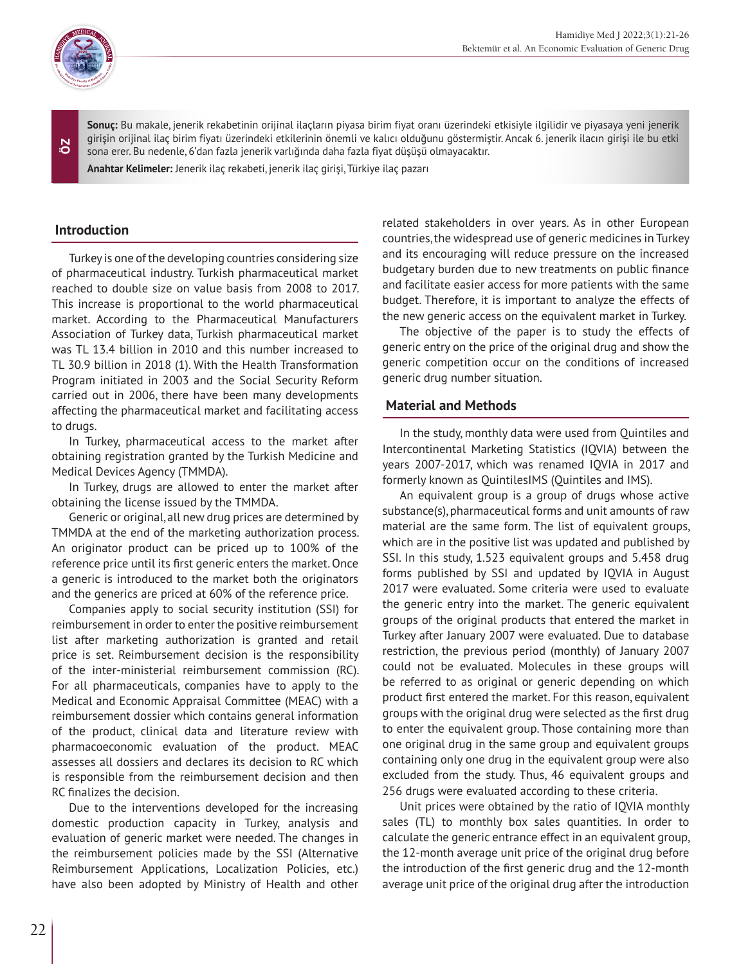

**ÖZ**

**Sonuç:** Bu makale, jenerik rekabetinin orijinal ilaçların piyasa birim fiyat oranı üzerindeki etkisiyle ilgilidir ve piyasaya yeni jenerik girişin orijinal ilaç birim fiyatı üzerindeki etkilerinin önemli ve kalıcı olduğunu göstermiştir. Ancak 6. jenerik ilacın girişi ile bu etki sona erer. Bu nedenle, 6'dan fazla jenerik varlığında daha fazla fiyat düşüşü olmayacaktır.

**Anahtar Kelimeler:** Jenerik ilaç rekabeti, jenerik ilaç girişi, Türkiye ilaç pazarı

## **Introduction**

Turkey is one of the developing countries considering size of pharmaceutical industry. Turkish pharmaceutical market reached to double size on value basis from 2008 to 2017. This increase is proportional to the world pharmaceutical market. According to the Pharmaceutical Manufacturers Association of Turkey data, Turkish pharmaceutical market was TL 13.4 billion in 2010 and this number increased to TL 30.9 billion in 2018 (1). With the Health Transformation Program initiated in 2003 and the Social Security Reform carried out in 2006, there have been many developments affecting the pharmaceutical market and facilitating access to drugs.

In Turkey, pharmaceutical access to the market after obtaining registration granted by the Turkish Medicine and Medical Devices Agency (TMMDA).

In Turkey, drugs are allowed to enter the market after obtaining the license issued by the TMMDA.

Generic or original, all new drug prices are determined by TMMDA at the end of the marketing authorization process. An originator product can be priced up to 100% of the reference price until its first generic enters the market. Once a generic is introduced to the market both the originators and the generics are priced at 60% of the reference price.

Companies apply to social security institution (SSI) for reimbursement in order to enter the positive reimbursement list after marketing authorization is granted and retail price is set. Reimbursement decision is the responsibility of the inter-ministerial reimbursement commission (RC). For all pharmaceuticals, companies have to apply to the Medical and Economic Appraisal Committee (MEAC) with a reimbursement dossier which contains general information of the product, clinical data and literature review with pharmacoeconomic evaluation of the product. MEAC assesses all dossiers and declares its decision to RC which is responsible from the reimbursement decision and then RC finalizes the decision.

Due to the interventions developed for the increasing domestic production capacity in Turkey, analysis and evaluation of generic market were needed. The changes in the reimbursement policies made by the SSI (Alternative Reimbursement Applications, Localization Policies, etc.) have also been adopted by Ministry of Health and other

related stakeholders in over years. As in other European countries, the widespread use of generic medicines in Turkey and its encouraging will reduce pressure on the increased budgetary burden due to new treatments on public finance and facilitate easier access for more patients with the same budget. Therefore, it is important to analyze the effects of the new generic access on the equivalent market in Turkey.

The objective of the paper is to study the effects of generic entry on the price of the original drug and show the generic competition occur on the conditions of increased generic drug number situation.

## **Material and Methods**

In the study, monthly data were used from Quintiles and Intercontinental Marketing Statistics (IQVIA) between the years 2007-2017, which was renamed IQVIA in 2017 and formerly known as QuintilesIMS (Quintiles and IMS).

An equivalent group is a group of drugs whose active substance(s), pharmaceutical forms and unit amounts of raw material are the same form. The list of equivalent groups, which are in the positive list was updated and published by SSI. In this study, 1.523 equivalent groups and 5.458 drug forms published by SSI and updated by IQVIA in August 2017 were evaluated. Some criteria were used to evaluate the generic entry into the market. The generic equivalent groups of the original products that entered the market in Turkey after January 2007 were evaluated. Due to database restriction, the previous period (monthly) of January 2007 could not be evaluated. Molecules in these groups will be referred to as original or generic depending on which product first entered the market. For this reason, equivalent groups with the original drug were selected as the first drug to enter the equivalent group. Those containing more than one original drug in the same group and equivalent groups containing only one drug in the equivalent group were also excluded from the study. Thus, 46 equivalent groups and 256 drugs were evaluated according to these criteria.

Unit prices were obtained by the ratio of IQVIA monthly sales (TL) to monthly box sales quantities. In order to calculate the generic entrance effect in an equivalent group, the 12-month average unit price of the original drug before the introduction of the first generic drug and the 12-month average unit price of the original drug after the introduction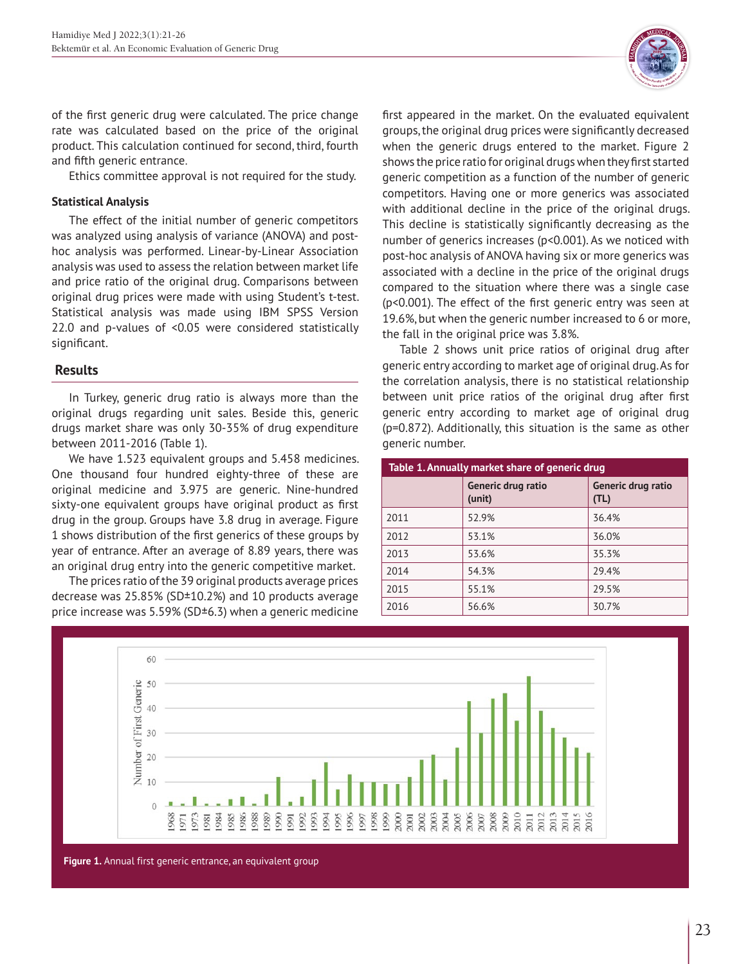

of the first generic drug were calculated. The price change rate was calculated based on the price of the original product. This calculation continued for second, third, fourth and fifth generic entrance.

Ethics committee approval is not required for the study.

## **Statistical Analysis**

The effect of the initial number of generic competitors was analyzed using analysis of variance (ANOVA) and posthoc analysis was performed. Linear-by-Linear Association analysis was used to assess the relation between market life and price ratio of the original drug. Comparisons between original drug prices were made with using Student's t-test. Statistical analysis was made using IBM SPSS Version 22.0 and p-values of <0.05 were considered statistically significant.

# **Results**

In Turkey, generic drug ratio is always more than the original drugs regarding unit sales. Beside this, generic drugs market share was only 30-35% of drug expenditure between 2011-2016 (Table 1).

We have 1.523 equivalent groups and 5.458 medicines. One thousand four hundred eighty-three of these are original medicine and 3.975 are generic. Nine-hundred sixty-one equivalent groups have original product as first drug in the group. Groups have 3.8 drug in average. Figure 1 shows distribution of the first generics of these groups by year of entrance. After an average of 8.89 years, there was an original drug entry into the generic competitive market.

The prices ratio of the 39 original products average prices decrease was 25.85% (SD±10.2%) and 10 products average price increase was 5.59% (SD±6.3) when a generic medicine first appeared in the market. On the evaluated equivalent groups, the original drug prices were significantly decreased when the generic drugs entered to the market. Figure 2 shows the price ratio for original drugs when they first started generic competition as a function of the number of generic competitors. Having one or more generics was associated with additional decline in the price of the original drugs. This decline is statistically significantly decreasing as the number of generics increases (p<0.001). As we noticed with post-hoc analysis of ANOVA having six or more generics was associated with a decline in the price of the original drugs compared to the situation where there was a single case (p<0.001). The effect of the first generic entry was seen at 19.6%, but when the generic number increased to 6 or more, the fall in the original price was 3.8%.

Table 2 shows unit price ratios of original drug after generic entry according to market age of original drug. As for the correlation analysis, there is no statistical relationship between unit price ratios of the original drug after first generic entry according to market age of original drug (p=0.872). Additionally, this situation is the same as other generic number.

| Table 1. Annually market share of generic drug |                              |                            |  |
|------------------------------------------------|------------------------------|----------------------------|--|
|                                                | Generic drug ratio<br>(unit) | Generic drug ratio<br>(TL) |  |
| 2011                                           | 52.9%                        | 36.4%                      |  |
| 2012                                           | 53.1%                        | 36.0%                      |  |
| 2013                                           | 53.6%                        | 35.3%                      |  |
| 2014                                           | 54.3%                        | 29.4%                      |  |
| 2015                                           | 55.1%                        | 29.5%                      |  |
| 2016                                           | 56.6%                        | 30.7%                      |  |



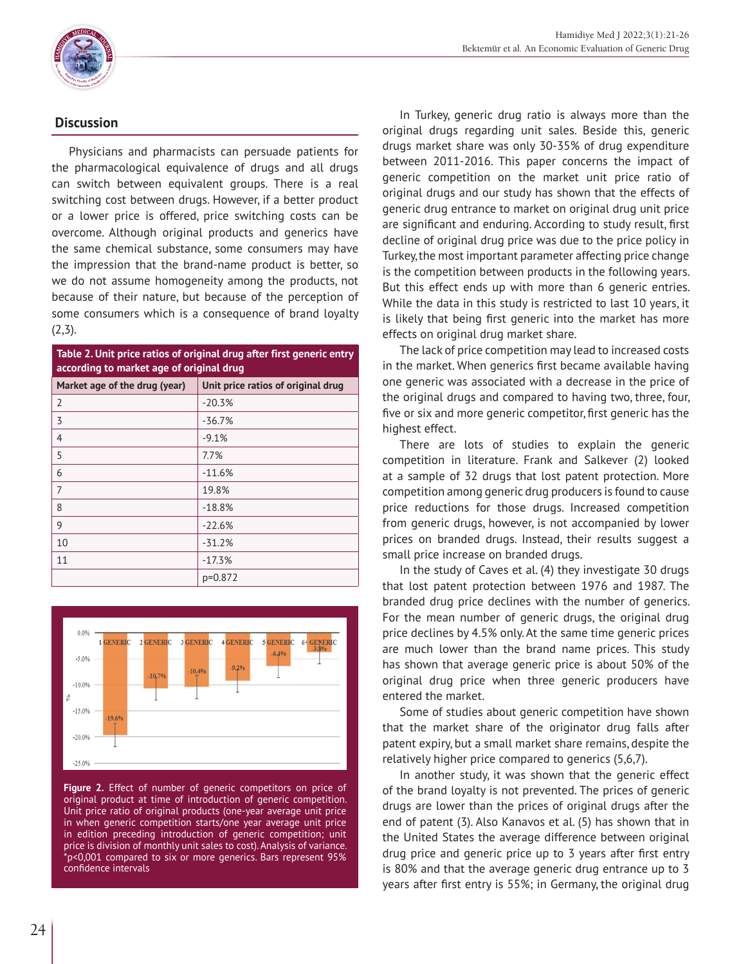

# **Discussion**

Physicians and pharmacists can persuade patients for the pharmacological equivalence of drugs and all drugs can switch between equivalent groups. There is a real switching cost between drugs. However, if a better product or a lower price is offered, price switching costs can be overcome. Although original products and generics have the same chemical substance, some consumers may have the impression that the brand-name product is better, so we do not assume homogeneity among the products, not because of their nature, but because of the perception of some consumers which is a consequence of brand loyalty  $(2,3)$ .

| Table 2. Unit price ratios of original drug after first generic entry<br>according to market age of original drug |                                    |  |
|-------------------------------------------------------------------------------------------------------------------|------------------------------------|--|
| Market age of the drug (year)                                                                                     | Unit price ratios of original drug |  |
| $\overline{2}$                                                                                                    | $-20.3%$                           |  |
| 3                                                                                                                 | $-36.7%$                           |  |
| 4                                                                                                                 | $-9.1%$                            |  |
| 5                                                                                                                 | 7.7%                               |  |
| 6                                                                                                                 | $-11.6%$                           |  |
| 7                                                                                                                 | 19.8%                              |  |
| 8                                                                                                                 | $-18.8%$                           |  |
| 9                                                                                                                 | $-22.6%$                           |  |
| 10                                                                                                                | $-31.2%$                           |  |
| 11                                                                                                                | $-17.3%$                           |  |
|                                                                                                                   | p=0.872                            |  |



**Figure 2.** Effect of number of generic competitors on price of original product at time of introduction of generic competition. Unit price ratio of original products (one-year average unit price in when generic competition starts/one year average unit price in edition preceding introduction of generic competition; unit price is division of monthly unit sales to cost). Analysis of variance. \*p<0,001 compared to six or more generics. Bars represent 95% confidence intervals

In Turkey, generic drug ratio is always more than the original drugs regarding unit sales. Beside this, generic drugs market share was only 30-35% of drug expenditure between 2011-2016. This paper concerns the impact of generic competition on the market unit price ratio of original drugs and our study has shown that the effects of generic drug entrance to market on original drug unit price are significant and enduring. According to study result, first decline of original drug price was due to the price policy in Turkey, the most important parameter affecting price change is the competition between products in the following years. But this effect ends up with more than 6 generic entries. While the data in this study is restricted to last 10 years, it is likely that being first generic into the market has more effects on original drug market share.

The lack of price competition may lead to increased costs in the market. When generics first became available having one generic was associated with a decrease in the price of the original drugs and compared to having two, three, four, five or six and more generic competitor, first generic has the highest effect.

There are lots of studies to explain the generic competition in literature. Frank and Salkever (2) looked at a sample of 32 drugs that lost patent protection. More competition among generic drug producers is found to cause price reductions for those drugs. Increased competition from generic drugs, however, is not accompanied by lower prices on branded drugs. Instead, their results suggest a small price increase on branded drugs.

In the study of Caves et al. (4) they investigate 30 drugs that lost patent protection between 1976 and 1987. The branded drug price declines with the number of generics. For the mean number of generic drugs, the original drug price declines by 4.5% only. At the same time generic prices are much lower than the brand name prices. This study has shown that average generic price is about 50% of the original drug price when three generic producers have entered the market.

Some of studies about generic competition have shown that the market share of the originator drug falls after patent expiry, but a small market share remains, despite the relatively higher price compared to generics (5,6,7).

In another study, it was shown that the generic effect of the brand loyalty is not prevented. The prices of generic drugs are lower than the prices of original drugs after the end of patent (3). Also Kanavos et al. (5) has shown that in the United States the average difference between original drug price and generic price up to 3 years after first entry is 80% and that the average generic drug entrance up to 3 years after first entry is 55%; in Germany, the original drug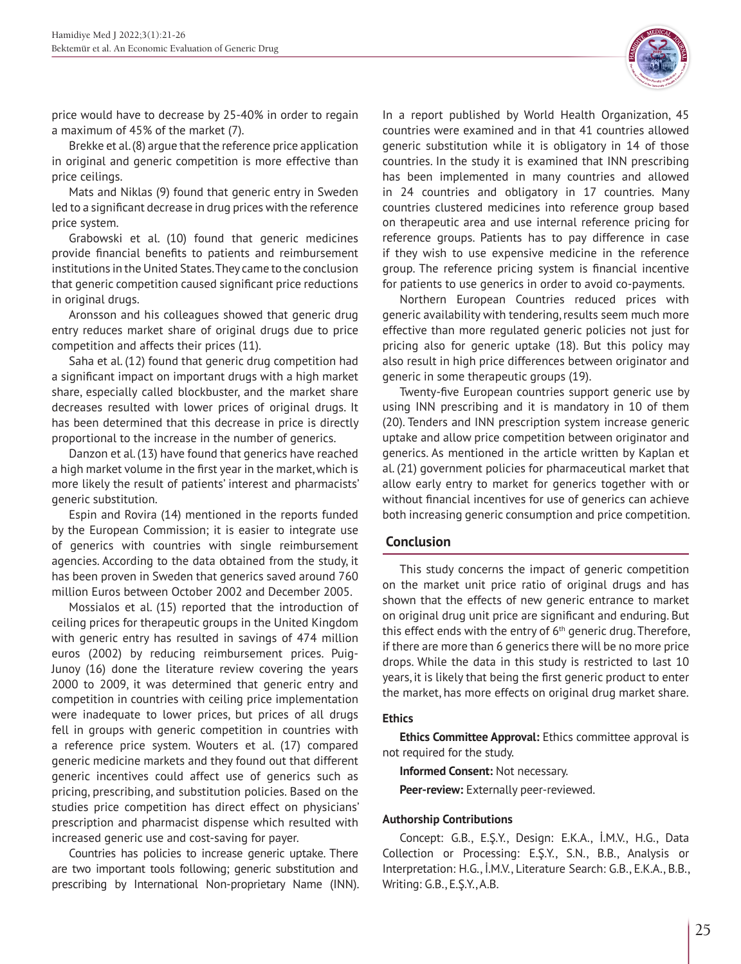price would have to decrease by 25-40% in order to regain a maximum of 45% of the market (7).

Brekke et al. (8) argue that the reference price application in original and generic competition is more effective than price ceilings.

Mats and Niklas (9) found that generic entry in Sweden led to a significant decrease in drug prices with the reference price system.

Grabowski et al. (10) found that generic medicines provide financial benefits to patients and reimbursement institutions in the United States. They came to the conclusion that generic competition caused significant price reductions in original drugs.

Aronsson and his colleagues showed that generic drug entry reduces market share of original drugs due to price competition and affects their prices (11).

Saha et al. (12) found that generic drug competition had a significant impact on important drugs with a high market share, especially called blockbuster, and the market share decreases resulted with lower prices of original drugs. It has been determined that this decrease in price is directly proportional to the increase in the number of generics.

Danzon et al. (13) have found that generics have reached a high market volume in the first year in the market, which is more likely the result of patients' interest and pharmacists' generic substitution.

Espin and Rovira (14) mentioned in the reports funded by the European Commission; it is easier to integrate use of generics with countries with single reimbursement agencies. According to the data obtained from the study, it has been proven in Sweden that generics saved around 760 million Euros between October 2002 and December 2005.

Mossialos et al. (15) reported that the introduction of ceiling prices for therapeutic groups in the United Kingdom with generic entry has resulted in savings of 474 million euros (2002) by reducing reimbursement prices. Puig-Junoy (16) done the literature review covering the years 2000 to 2009, it was determined that generic entry and competition in countries with ceiling price implementation were inadequate to lower prices, but prices of all drugs fell in groups with generic competition in countries with a reference price system. Wouters et al. (17) compared generic medicine markets and they found out that different generic incentives could affect use of generics such as pricing, prescribing, and substitution policies. Based on the studies price competition has direct effect on physicians' prescription and pharmacist dispense which resulted with increased generic use and cost-saving for payer.

Countries has policies to increase generic uptake. There are two important tools following; generic substitution and prescribing by International Non-proprietary Name (INN).

In a report published by World Health Organization, 45 countries were examined and in that 41 countries allowed generic substitution while it is obligatory in 14 of those countries. In the study it is examined that INN prescribing has been implemented in many countries and allowed in 24 countries and obligatory in 17 countries. Many countries clustered medicines into reference group based on therapeutic area and use internal reference pricing for reference groups. Patients has to pay difference in case if they wish to use expensive medicine in the reference group. The reference pricing system is financial incentive for patients to use generics in order to avoid co-payments.

Northern European Countries reduced prices with generic availability with tendering, results seem much more effective than more regulated generic policies not just for pricing also for generic uptake (18). But this policy may also result in high price differences between originator and generic in some therapeutic groups (19).

Twenty-five European countries support generic use by using INN prescribing and it is mandatory in 10 of them (20). Tenders and INN prescription system increase generic uptake and allow price competition between originator and generics. As mentioned in the article written by Kaplan et al. (21) government policies for pharmaceutical market that allow early entry to market for generics together with or without financial incentives for use of generics can achieve both increasing generic consumption and price competition.

# **Conclusion**

This study concerns the impact of generic competition on the market unit price ratio of original drugs and has shown that the effects of new generic entrance to market on original drug unit price are significant and enduring. But this effect ends with the entry of 6<sup>th</sup> generic drug. Therefore, if there are more than 6 generics there will be no more price drops. While the data in this study is restricted to last 10 years, it is likely that being the first generic product to enter the market, has more effects on original drug market share.

### **Ethics**

**Ethics Committee Approval:** Ethics committee approval is not required for the study.

**Informed Consent:** Not necessary. **Peer-review:** Externally peer-reviewed.

### **Authorship Contributions**

Concept: G.B., E.Ş.Y., Design: E.K.A., İ.M.V., H.G., Data Collection or Processing: E.Ş.Y., S.N., B.B., Analysis or Interpretation: H.G., İ.M.V., Literature Search: G.B., E.K.A., B.B., Writing: G.B., E.Ş.Y., A.B.